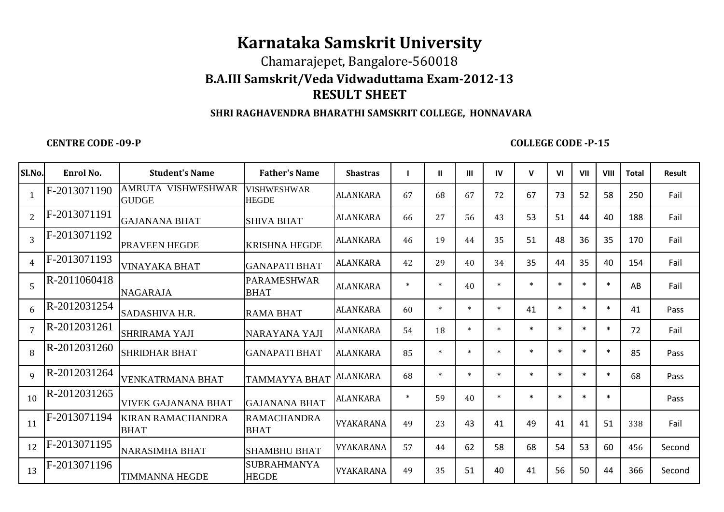## **Karnataka Samskrit University**

## Chamarajepet, Bangalore-560018 **B.A.III Samskrit/Veda Vidwaduttama Exam-2012-13RESULT SHEET**

## **SHRI RAGHAVENDRA BHARATHI SAMSKRIT COLLEGE, HONNAVARA**

**CENTRE CODE -09-P**

## **COLLEGE CODE -P-15**

| Sl.No.         | Enrol No.    | <b>Student's Name</b>                   | <b>Father's Name</b>               | <b>Shastras</b>  |        | $\mathbf{H}$ | Ш      | IV     | $\mathsf{V}$ | V <sub>1</sub> | VII       | VIII   | <b>Total</b> | <b>Result</b> |
|----------------|--------------|-----------------------------------------|------------------------------------|------------------|--------|--------------|--------|--------|--------------|----------------|-----------|--------|--------------|---------------|
| $\mathbf{1}$   | F-2013071190 | AMRUTA VISHWESHWAR<br><b>GUDGE</b>      | <b>VISHWESHWAR</b><br><b>HEGDE</b> | ALANKARA         | 67     | 68           | 67     | 72     | 67           | 73             | 52        | 58     | 250          | Fail          |
| 2              | F-2013071191 | <b>GAJANANA BHAT</b>                    | <b>SHIVA BHAT</b>                  | ALANKARA         | 66     | 27           | 56     | 43     | 53           | 51             | 44        | 40     | 188          | Fail          |
| $\overline{3}$ | F-2013071192 | <b>PRAVEEN HEGDE</b>                    | <b>KRISHNA HEGDE</b>               | <b>ALANKARA</b>  | 46     | 19           | 44     | 35     | 51           | 48             | 36        | 35     | 170          | Fail          |
| $\overline{4}$ | F-2013071193 | <b>VINAYAKA BHAT</b>                    | <b>GANAPATI BHAT</b>               | ALANKARA         | 42     | 29           | 40     | 34     | 35           | 44             | 35        | 40     | 154          | Fail          |
| 5              | R-2011060418 | <b>NAGARAJA</b>                         | <b>PARAMESHWAR</b><br><b>BHAT</b>  | ALANKARA         | $\ast$ | $\ast$       | 40     | ×      | $\ast$       | $\ast$         | <b>sk</b> | $\ast$ | AB           | Fail          |
| 6              | R-2012031254 | SADASHIVA H.R.                          | RAMA BHAT                          | <b>ALANKARA</b>  | 60     | $\ast$       | $\ast$ | $\ast$ | 41           | $\ast$         | $\ast$    | $\ast$ | 41           | Pass          |
| $\overline{7}$ | R-2012031261 | SHRIRAMA YAJI                           | NARAYANA YAJI                      | ALANKARA         | 54     | 18           | $\ast$ | $\ast$ | $\ast$       | $\ast$         | $\ast$    | $\ast$ | 72           | Fail          |
| 8              | R-2012031260 | <b>SHRIDHAR BHAT</b>                    | <b>GANAPATI BHAT</b>               | <b>ALANKARA</b>  | 85     | $\ast$       | $\ast$ | $\ast$ | $\ast$       | $\ast$         | $\ast$    | $\ast$ | 85           | Pass          |
| $\mathbf{q}$   | R-2012031264 | <b>VENKATRMANA BHAT</b>                 | TAMMAYYA BHAT                      | <b>ALANKARA</b>  | 68     | $\ast$       | $\ast$ | $\ast$ | $\ast$       | $\ast$         | $\ast$    | $\ast$ | 68           | Pass          |
| 10             | R-2012031265 | <b>VIVEK GAJANANA BHAT</b>              | <b>GAJANANA BHAT</b>               | ALANKARA         | $\ast$ | 59           | 40     | ÷      | $\ast$       | $\ast$         | $\ast$    | $\ast$ |              | Pass          |
| 11             | F-2013071194 | <b>KIRAN RAMACHANDRA</b><br><b>BHAT</b> | <b>RAMACHANDRA</b><br><b>BHAT</b>  | VYAKARANA        | 49     | 23           | 43     | 41     | 49           | 41             | 41        | 51     | 338          | Fail          |
| 12             | F-2013071195 | <b>NARASIMHA BHAT</b>                   | <b>SHAMBHU BHAT</b>                | <b>VYAKARANA</b> | 57     | 44           | 62     | 58     | 68           | 54             | 53        | 60     | 456          | Second        |
| 13             | F-2013071196 | <b>TIMMANNA HEGDE</b>                   | <b>SUBRAHMANYA</b><br><b>HEGDE</b> | VYAKARANA        | 49     | 35           | 51     | 40     | 41           | 56             | 50        | 44     | 366          | Second        |